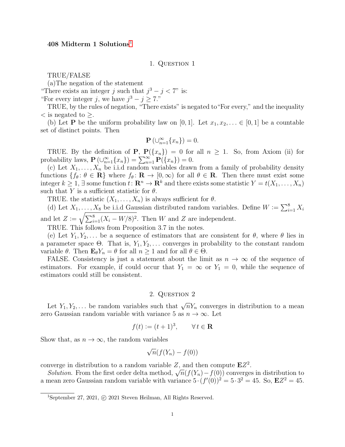# $408$  Midterm [1](#page-0-0) Solutions<sup>1</sup>

#### 1. QUESTION 1

TRUE/FALSE

(a)The negation of the statement

"There exists an integer j such that  $j^3 - j < 7$ " is:

"For every integer j, we have  $j^3 - j \ge 7$ ."

TRUE, by the rules of negation, "There exists" is negated to"For every," and the inequality  $\lt$  is negated to  $\geq$ .

(b) Let **P** be the uniform probability law on [0, 1]. Let  $x_1, x_2, \ldots \in [0, 1]$  be a countable set of distinct points. Then

$$
\mathbf{P}\left(\cup_{n=1}^{\infty}\{x_n\}\right)=0.
$$

TRUE. By the definition of **P**,  $P(\lbrace x_n \rbrace) = 0$  for all  $n \geq 1$ . So, from Axiom (ii) for probability laws,  $\mathbf{P}\left(\bigcup_{n=1}^{\infty} \{x_n\}\right) = \sum_{n=1}^{\infty} \mathbf{P}(\{x_n\}) = 0.$ 

(c) Let  $X_1, \ldots, X_n$  be i.i.d random variables drawn from a family of probability density functions  $\{f_\theta: \theta \in \mathbf{R}\}\$  where  $f_\theta: \mathbf{R} \to [0, \infty)$  for all  $\theta \in \mathbf{R}$ . Then there must exist some integer  $k \geq 1$ ,  $\exists$  some function  $t: \mathbb{R}^n \to \mathbb{R}^k$  and there exists some statistic  $Y = t(X_1, \ldots, X_n)$ such that Y is a sufficient statistic for  $\theta$ .

TRUE. the statistic  $(X_1, \ldots, X_n)$  is always sufficient for  $\theta$ .

(d) Let  $X_1, \ldots, X_8$  be i.i.d Gaussian distributed random variables. Define  $W := \sum_{i=1}^8 X_i$ and let  $Z := \sqrt{\sum_{i=1}^{8} (X_i - W/8)^2}$ . Then W and Z are independent.

TRUE. This follows from Proposition 3.7 in the notes.

(e) Let  $Y_1, Y_2, \ldots$  be a sequence of estimators that are consistent for  $\theta$ , where  $\theta$  lies in a parameter space  $\Theta$ . That is,  $Y_1, Y_2, \ldots$  converges in probability to the constant random variable  $\theta$ . Then  $\mathbf{E}_{\theta} Y_n = \theta$  for all  $n \geq 1$  and for all  $\theta \in \Theta$ .

FALSE. Consistency is just a statement about the limit as  $n \to \infty$  of the sequence of estimators. For example, if could occur that  $Y_1 = \infty$  or  $Y_1 = 0$ , while the sequence of estimators could still be consistent.

## 2. QUESTION 2

Let  $Y_1, Y_2, \ldots$  be random variables such that  $\sqrt{n}Y_n$  converges in distribution to a mean zero Gaussian random variable with variance 5 as  $n \to \infty$ . Let

$$
f(t) := (t+1)^3, \qquad \forall \, t \in \mathbf{R}
$$

Show that, as  $n \to \infty$ , the random variables

$$
\sqrt{n}(f(Y_n) - f(0))
$$

converge in distribution to a random variable Z, and then compute  $EZ^2$ .

nverge in distribution to a random variable  $\mathcal{Z}$ , and then compute **E** $\mathcal{Z}$ .<br>Solution. From the first order delta method,  $\sqrt{n}(f(Y_n)-f(0))$  converges in distribution to a mean zero Gaussian random variable with variance  $5 \cdot (f'(0))^2 = 5 \cdot 3^2 = 45$ . So,  $\mathbf{E}Z^2 = 45$ .

<span id="page-0-0"></span><sup>&</sup>lt;sup>1</sup>September 27, 2021, © 2021 Steven Heilman, All Rights Reserved.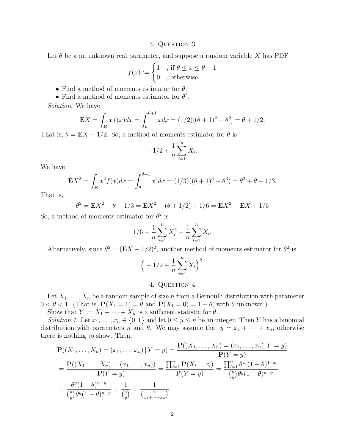## 3. Question 3

Let  $\theta$  be a an unknown real parameter, and suppose a random variable X has PDF

$$
f(x) := \begin{cases} 1, & \text{if } \theta \leq x \leq \theta + 1 \\ 0, & \text{otherwise.} \end{cases}
$$

- Find a method of moments estimator for  $\theta$ .
- Find a method of moments estimator for  $\theta^2$ .

Solution. We have

$$
\mathbf{E}X = \int_{\mathbf{R}} x f(x) dx = \int_{\theta}^{\theta+1} x dx = (1/2)[(\theta+1)^2 - \theta^2] = \theta + 1/2.
$$

That is,  $\theta = \mathbf{E}X - 1/2$ . So, a method of moments estimator for  $\theta$  is

$$
-1/2 + \frac{1}{n} \sum_{i=1}^{n} X_i.
$$

We have

$$
\mathbf{E}X^2 = \int_{\mathbf{R}} x^2 f(x) dx = \int_{\theta}^{\theta+1} x^2 dx = (1/3)((\theta+1)^3 - \theta^3) = \theta^2 + \theta + 1/3.
$$

That is,

$$
\theta^2 = \mathbf{E}X^2 - \theta - 1/3 = \mathbf{E}X^2 - (\theta + 1/2) + 1/6 = \mathbf{E}X^2 - \mathbf{E}X + 1/6
$$

So, a method of moments estimator for  $\theta^2$  is

$$
1/6 + \frac{1}{n} \sum_{i=1}^{n} X_i^2 - \frac{1}{n} \sum_{i=1}^{n} X_i.
$$

Alternatively, since  $\theta^2 = (\mathbf{E}X - 1/2)^2$ , another method of moments estimator for  $\theta^2$  is

$$
\left(-\frac{1}{2} + \frac{1}{n} \sum_{i=1}^{n} X_i\right)^2.
$$

# 4. QUESTION 4

Let  $X_1, \ldots, X_n$  be a random sample of size n from a Bernoulli distribution with parameter  $0 < \theta < 1$ . (That is,  $P(X_1 = 1) = \theta$  and  $P(X_1 = 0) = 1 - \theta$ , with  $\theta$  unknown.)

Show that  $Y := X_1 + \cdots + X_n$  is a sufficient statistic for  $\theta$ .

Solution 1. Let  $x_1, \ldots, x_n \in \{0, 1\}$  and let  $0 \le y \le n$  be an integer. Then Y has a binomial distribution with parameters n and  $\theta$ . We may assume that  $y = x_1 + \cdots + x_n$ , otherwise there is nothing to show. Then,

$$
\mathbf{P}((X_1, \dots, X_n) = (x_1, \dots, x_n) | Y = y) = \frac{\mathbf{P}((X_1, \dots, X_n) = (x_1, \dots, x_n), Y = y)}{\mathbf{P}(Y = y)}
$$
\n
$$
= \frac{\mathbf{P}((X_1, \dots, X_n) = (x_1, \dots, x_n))}{\mathbf{P}(Y = y)} = \frac{\prod_{i=1}^n \mathbf{P}(X_i = x_i)}{\prod_{i=1}^n \theta^{x_i} (1 - \theta)^{1 - x_i}}
$$
\n
$$
= \frac{\theta^y (1 - \theta)^{n - y}}{\binom{n}{y} \theta^y (1 - \theta)^{n - y}} = \frac{1}{\binom{n}{y}} = \frac{1}{\binom{n}{x_1 + \dots + x_n}}.
$$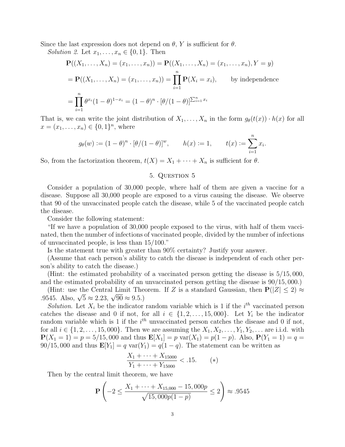Since the last expression does not depend on  $\theta$ , Y is sufficient for  $\theta$ .

Solution 2. Let  $x_1, \ldots, x_n \in \{0, 1\}$ . Then

$$
\mathbf{P}((X_1, ..., X_n) = (x_1, ..., x_n)) = \mathbf{P}((X_1, ..., X_n) = (x_1, ..., x_n), Y = y)
$$
  
=  $\mathbf{P}((X_1, ..., X_n) = (x_1, ..., x_n)) = \prod_{i=1}^n \mathbf{P}(X_i = x_i),$  by independence  
=  $\prod_{i=1}^n \theta^{x_i} (1 - \theta)^{1 - x_i} = (1 - \theta)^n \cdot [\theta / (1 - \theta)]^{\sum_{i=1}^n x_i}$ 

That is, we can write the joint distribution of  $X_1, \ldots, X_n$  in the form  $g_{\theta}(t(x)) \cdot h(x)$  for all  $x = (x_1, \ldots, x_n) \in \{0, 1\}^n$ , where

$$
g_{\theta}(w) := (1 - \theta)^n \cdot [\theta/(1 - \theta)]^w
$$
,  $h(x) := 1$ ,  $t(x) := \sum_{i=1}^n x_i$ .

So, from the factorization theorem,  $t(X) = X_1 + \cdots + X_n$  is sufficient for  $\theta$ .

#### 5. Question 5

Consider a population of 30,000 people, where half of them are given a vaccine for a disease. Suppose all 30,000 people are exposed to a virus causing the disease. We observe that 90 of the unvaccinated people catch the disease, while 5 of the vaccinated people catch the disease.

Consider the following statement:

"If we have a population of 30,000 people exposed to the virus, with half of them vaccinated, then the number of infections of vaccinated people, divided by the number of infections of unvaccinated people, is less than 15/100."

Is the statement true with greater than 90% certainty? Justify your answer.

(Assume that each person's ability to catch the disease is independent of each other person's ability to catch the disease.)

(Hint: the estimated probability of a vaccinated person getting the disease is 5/15, 000, and the estimated probability of an unvaccinated person getting the disease is 90/15, 000.)

(Hint: use the Central Limit Theorem. If Z is a standard Gaussian, then  $P(|Z| \leq 2) \approx$ (mm. use the Central Limit The<br>.9545. Also,  $\sqrt{5} \approx 2.23$ ,  $\sqrt{90} \approx 9.5$ .)

Solution. Let  $X_i$  be the indicator random variable which is 1 if the  $i^{th}$  vaccinated person catches the disease and 0 if not, for all  $i \in \{1, 2, \ldots, 15, 000\}$ . Let  $Y_i$  be the indicator random variable which is 1 if the  $i<sup>th</sup>$  unvaccinated person catches the disease and 0 if not, for all  $i \in \{1, 2, ..., 15, 000\}$ . Then we are assuming the  $X_1, X_2, ..., Y_1, Y_2, ...$  are i.i.d. with  $P(X_1 = 1) = p = 5/15,000$  and thus  $E[X_1] = p \text{ var}(X_1) = p(1 - p)$ . Also,  $P(Y_1 = 1) = q$  $90/15,000$  and thus  $\mathbf{E}[Y_1] = q \text{ var}(Y_1) = q(1 - q)$ . The statement can be written as

$$
\frac{X_1 + \dots + X_{15000}}{Y_1 + \dots + Y_{15000}} < .15. \tag{*}
$$

Then by the central limit theorem, we have

$$
\mathbf{P}\left(-2 \le \frac{X_1 + \dots + X_{15,000} - 15,000p}{\sqrt{15,000p(1-p)}} \le 2\right) \approx .9545
$$